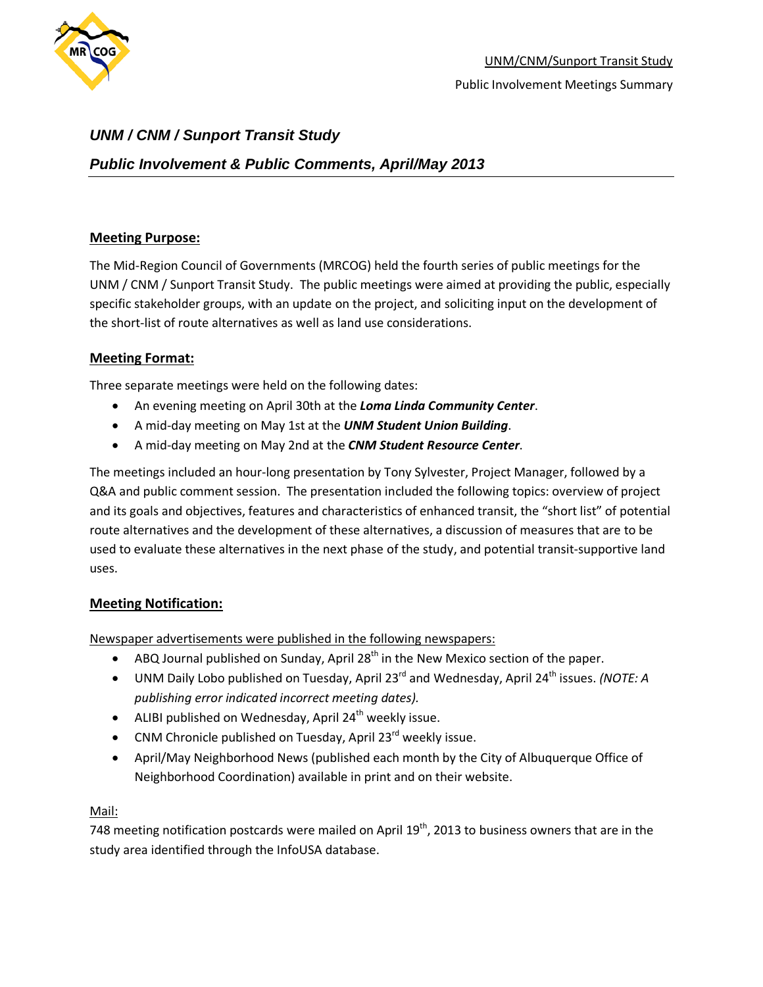

# *UNM / CNM / Sunport Transit Study*

# *Public Involvement & Public Comments, April/May 2013*

## **Meeting Purpose:**

The Mid-Region Council of Governments (MRCOG) held the fourth series of public meetings for the UNM / CNM / Sunport Transit Study. The public meetings were aimed at providing the public, especially specific stakeholder groups, with an update on the project, and soliciting input on the development of the short-list of route alternatives as well as land use considerations.

## **Meeting Format:**

Three separate meetings were held on the following dates:

- An evening meeting on April 30th at the *Loma Linda Community Center*.
- A mid-day meeting on May 1st at the *UNM Student Union Building*.
- A mid-day meeting on May 2nd at the *CNM Student Resource Center*.

The meetings included an hour-long presentation by Tony Sylvester, Project Manager, followed by a Q&A and public comment session. The presentation included the following topics: overview of project and its goals and objectives, features and characteristics of enhanced transit, the "short list" of potential route alternatives and the development of these alternatives, a discussion of measures that are to be used to evaluate these alternatives in the next phase of the study, and potential transit-supportive land uses.

## **Meeting Notification:**

Newspaper advertisements were published in the following newspapers:

- ABQ Journal published on Sunday, April 28<sup>th</sup> in the New Mexico section of the paper.
- UNM Daily Lobo published on Tuesday, April 23<sup>rd</sup> and Wednesday, April 24<sup>th</sup> issues. *(NOTE: A publishing error indicated incorrect meeting dates).*
- ALIBI published on Wednesday, April 24<sup>th</sup> weekly issue.
- CNM Chronicle published on Tuesday, April 23 $^{rd}$  weekly issue.
- April/May Neighborhood News (published each month by the City of Albuquerque Office of Neighborhood Coordination) available in print and on their website.

## Mail:

748 meeting notification postcards were mailed on April  $19<sup>th</sup>$ , 2013 to business owners that are in the study area identified through the InfoUSA database.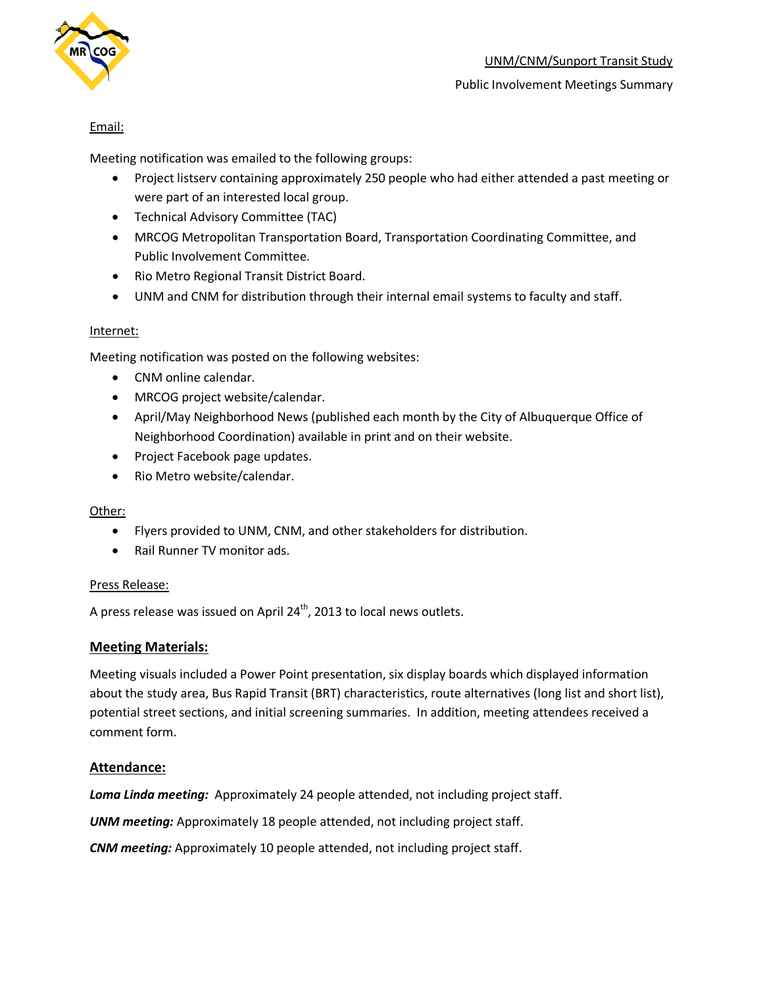

## Email:

Meeting notification was emailed to the following groups:

- Project listserv containing approximately 250 people who had either attended a past meeting or were part of an interested local group.
- Technical Advisory Committee (TAC)
- MRCOG Metropolitan Transportation Board, Transportation Coordinating Committee, and Public Involvement Committee.
- Rio Metro Regional Transit District Board.
- UNM and CNM for distribution through their internal email systems to faculty and staff.

### Internet:

Meeting notification was posted on the following websites:

- CNM online calendar.
- MRCOG project website/calendar.
- April/May Neighborhood News (published each month by the City of Albuquerque Office of Neighborhood Coordination) available in print and on their website.
- Project Facebook page updates.
- Rio Metro website/calendar.

## Other:

- Flyers provided to UNM, CNM, and other stakeholders for distribution.
- Rail Runner TV monitor ads.

#### Press Release:

A press release was issued on April  $24^{th}$ , 2013 to local news outlets.

#### **Meeting Materials:**

Meeting visuals included a Power Point presentation, six display boards which displayed information about the study area, Bus Rapid Transit (BRT) characteristics, route alternatives (long list and short list), potential street sections, and initial screening summaries. In addition, meeting attendees received a comment form.

## **Attendance:**

*Loma Linda meeting:* Approximately 24 people attended, not including project staff.

*UNM meeting:* Approximately 18 people attended, not including project staff.

*CNM meeting:* Approximately 10 people attended, not including project staff.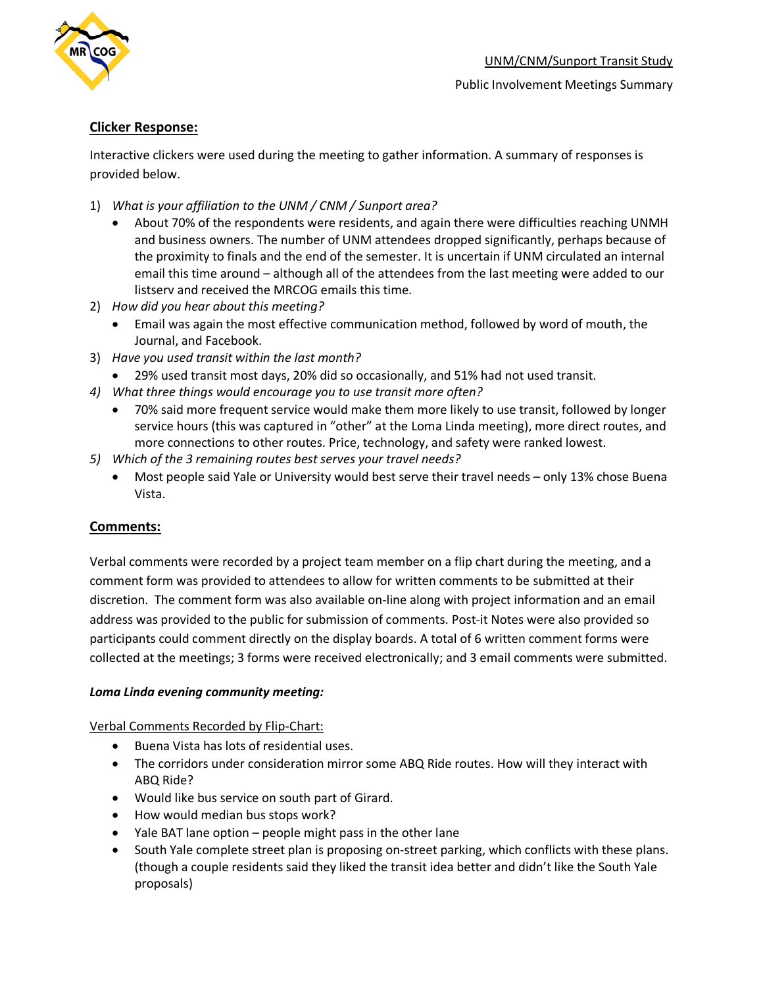

## **Clicker Response:**

Interactive clickers were used during the meeting to gather information. A summary of responses is provided below.

- 1) *What is your affiliation to the UNM / CNM / Sunport area?* 
	- About 70% of the respondents were residents, and again there were difficulties reaching UNMH and business owners. The number of UNM attendees dropped significantly, perhaps because of the proximity to finals and the end of the semester. It is uncertain if UNM circulated an internal email this time around – although all of the attendees from the last meeting were added to our listserv and received the MRCOG emails this time.
- 2) *How did you hear about this meeting?*
	- Email was again the most effective communication method, followed by word of mouth, the Journal, and Facebook.
- 3) *Have you used transit within the last month?*
	- 29% used transit most days, 20% did so occasionally, and 51% had not used transit.
- *4) What three things would encourage you to use transit more often?*
	- 70% said more frequent service would make them more likely to use transit, followed by longer service hours (this was captured in "other" at the Loma Linda meeting), more direct routes, and more connections to other routes. Price, technology, and safety were ranked lowest.
- *5) Which of the 3 remaining routes best serves your travel needs?*
	- Most people said Yale or University would best serve their travel needs only 13% chose Buena Vista.

## **Comments:**

Verbal comments were recorded by a project team member on a flip chart during the meeting, and a comment form was provided to attendees to allow for written comments to be submitted at their discretion. The comment form was also available on-line along with project information and an email address was provided to the public for submission of comments. Post-it Notes were also provided so participants could comment directly on the display boards. A total of 6 written comment forms were collected at the meetings; 3 forms were received electronically; and 3 email comments were submitted.

## *Loma Linda evening community meeting:*

Verbal Comments Recorded by Flip-Chart:

- Buena Vista has lots of residential uses.
- The corridors under consideration mirror some ABQ Ride routes. How will they interact with ABQ Ride?
- Would like bus service on south part of Girard.
- How would median bus stops work?
- Yale BAT lane option people might pass in the other lane
- South Yale complete street plan is proposing on-street parking, which conflicts with these plans. (though a couple residents said they liked the transit idea better and didn't like the South Yale proposals)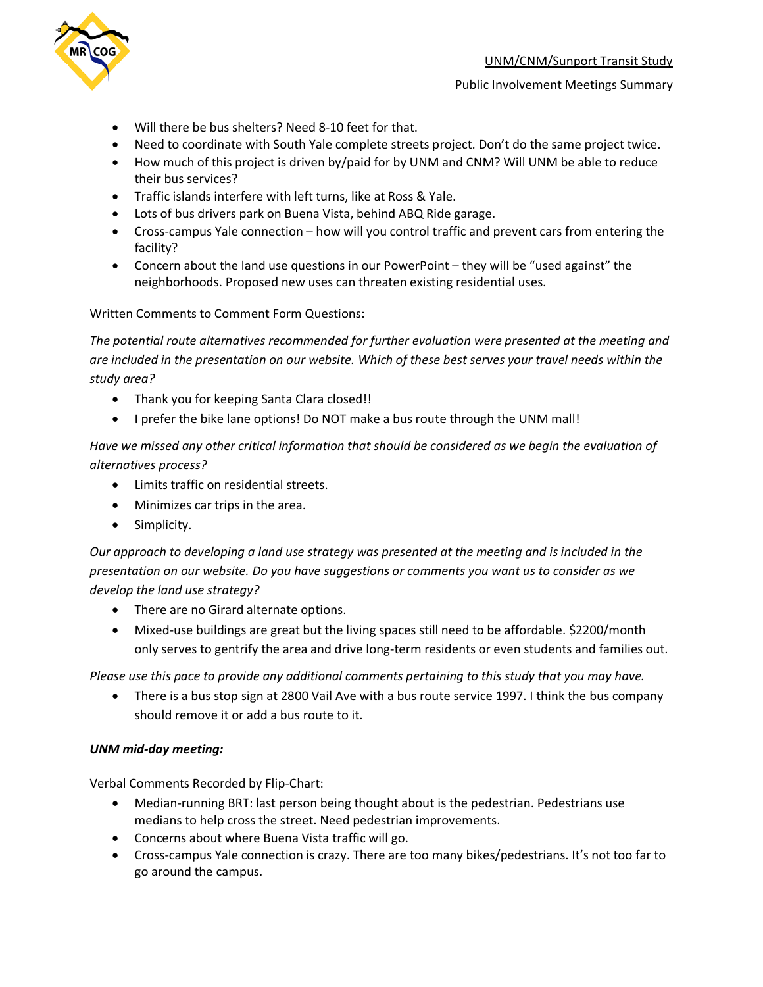

#### Public Involvement Meetings Summary

- Will there be bus shelters? Need 8-10 feet for that.
- Need to coordinate with South Yale complete streets project. Don't do the same project twice.
- How much of this project is driven by/paid for by UNM and CNM? Will UNM be able to reduce their bus services?
- Traffic islands interfere with left turns, like at Ross & Yale.
- Lots of bus drivers park on Buena Vista, behind ABQ Ride garage.
- Cross-campus Yale connection how will you control traffic and prevent cars from entering the facility?
- Concern about the land use questions in our PowerPoint they will be "used against" the neighborhoods. Proposed new uses can threaten existing residential uses.

#### Written Comments to Comment Form Questions:

*The potential route alternatives recommended for further evaluation were presented at the meeting and are included in the presentation on our website. Which of these best serves your travel needs within the study area?*

- Thank you for keeping Santa Clara closed!!
- I prefer the bike lane options! Do NOT make a bus route through the UNM mall!

*Have we missed any other critical information that should be considered as we begin the evaluation of alternatives process?*

- Limits traffic on residential streets.
- Minimizes car trips in the area.
- Simplicity.

*Our approach to developing a land use strategy was presented at the meeting and is included in the presentation on our website. Do you have suggestions or comments you want us to consider as we develop the land use strategy?*

- There are no Girard alternate options.
- Mixed-use buildings are great but the living spaces still need to be affordable. \$2200/month only serves to gentrify the area and drive long-term residents or even students and families out.

*Please use this pace to provide any additional comments pertaining to this study that you may have.*

• There is a bus stop sign at 2800 Vail Ave with a bus route service 1997. I think the bus company should remove it or add a bus route to it.

#### *UNM mid-day meeting:*

Verbal Comments Recorded by Flip-Chart:

- Median-running BRT: last person being thought about is the pedestrian. Pedestrians use medians to help cross the street. Need pedestrian improvements.
- Concerns about where Buena Vista traffic will go.
- Cross-campus Yale connection is crazy. There are too many bikes/pedestrians. It's not too far to go around the campus.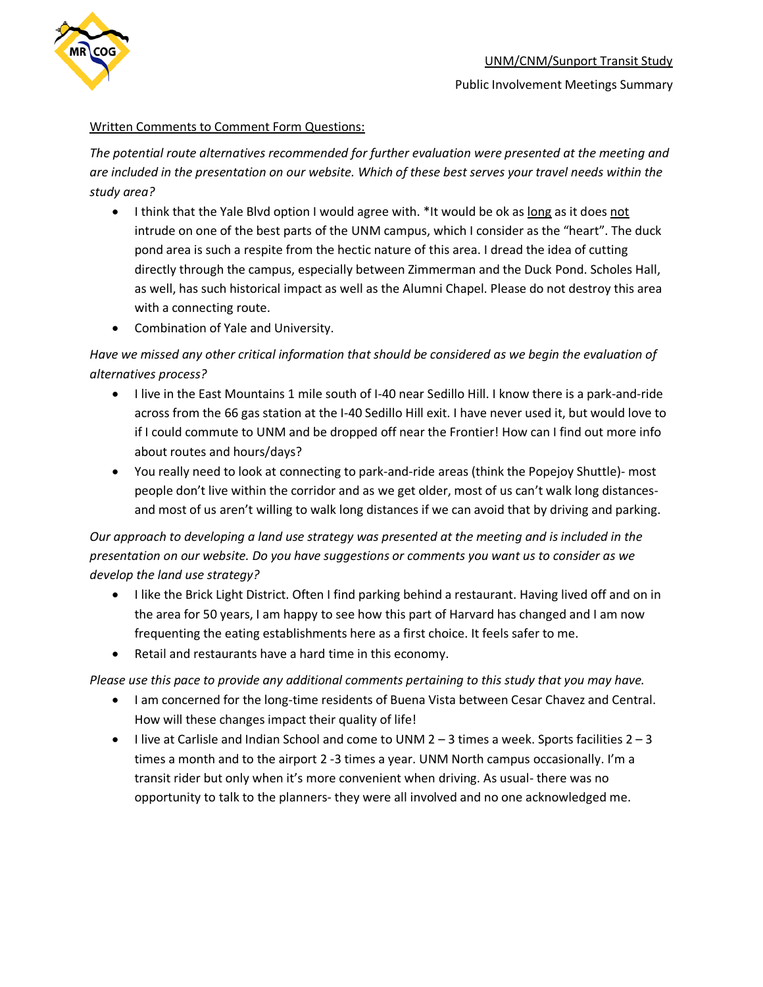

## Written Comments to Comment Form Questions:

*The potential route alternatives recommended for further evaluation were presented at the meeting and are included in the presentation on our website. Which of these best serves your travel needs within the study area?*

- I think that the Yale Blvd option I would agree with. \*It would be ok as long as it does not intrude on one of the best parts of the UNM campus, which I consider as the "heart". The duck pond area is such a respite from the hectic nature of this area. I dread the idea of cutting directly through the campus, especially between Zimmerman and the Duck Pond. Scholes Hall, as well, has such historical impact as well as the Alumni Chapel. Please do not destroy this area with a connecting route.
- Combination of Yale and University.

*Have we missed any other critical information that should be considered as we begin the evaluation of alternatives process?*

- I live in the East Mountains 1 mile south of I-40 near Sedillo Hill. I know there is a park-and-ride across from the 66 gas station at the I-40 Sedillo Hill exit. I have never used it, but would love to if I could commute to UNM and be dropped off near the Frontier! How can I find out more info about routes and hours/days?
- You really need to look at connecting to park-and-ride areas (think the Popejoy Shuttle)- most people don't live within the corridor and as we get older, most of us can't walk long distancesand most of us aren't willing to walk long distances if we can avoid that by driving and parking.

*Our approach to developing a land use strategy was presented at the meeting and is included in the presentation on our website. Do you have suggestions or comments you want us to consider as we develop the land use strategy?*

- I like the Brick Light District. Often I find parking behind a restaurant. Having lived off and on in the area for 50 years, I am happy to see how this part of Harvard has changed and I am now frequenting the eating establishments here as a first choice. It feels safer to me.
- Retail and restaurants have a hard time in this economy.

*Please use this pace to provide any additional comments pertaining to this study that you may have.*

- I am concerned for the long-time residents of Buena Vista between Cesar Chavez and Central. How will these changes impact their quality of life!
- $\bullet$  I live at Carlisle and Indian School and come to UNM 2 3 times a week. Sports facilities 2 3 times a month and to the airport 2 -3 times a year. UNM North campus occasionally. I'm a transit rider but only when it's more convenient when driving. As usual- there was no opportunity to talk to the planners- they were all involved and no one acknowledged me.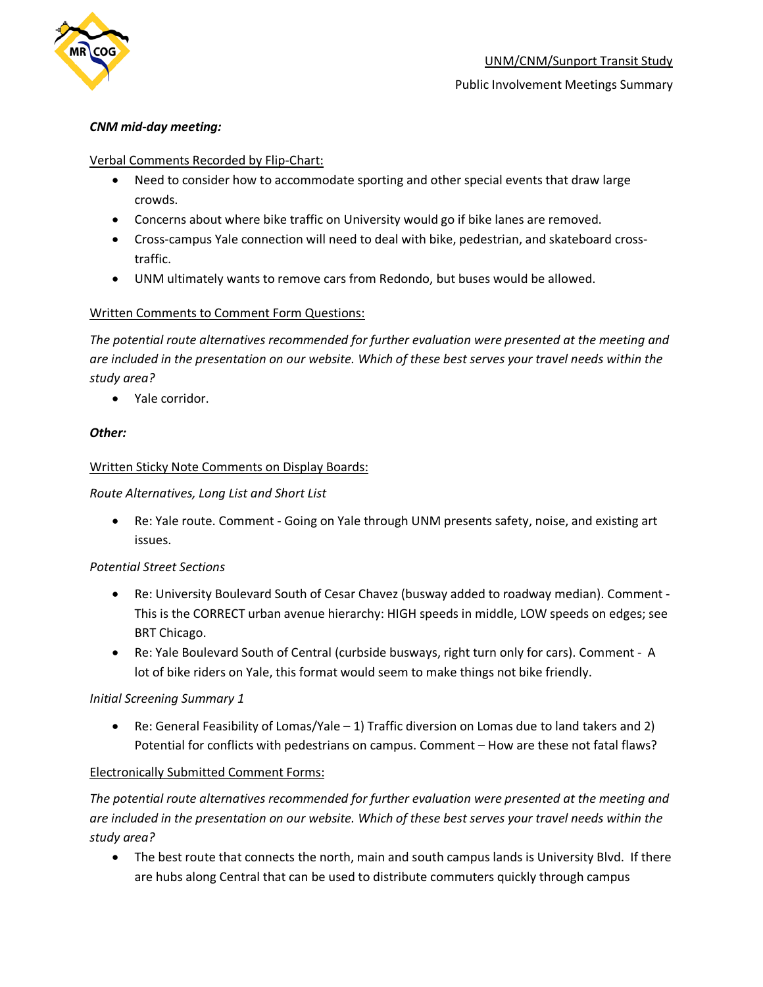

#### Public Involvement Meetings Summary

#### *CNM mid-day meeting:*

#### Verbal Comments Recorded by Flip-Chart:

- Need to consider how to accommodate sporting and other special events that draw large crowds.
- Concerns about where bike traffic on University would go if bike lanes are removed.
- Cross-campus Yale connection will need to deal with bike, pedestrian, and skateboard crosstraffic.
- UNM ultimately wants to remove cars from Redondo, but buses would be allowed.

### Written Comments to Comment Form Questions:

*The potential route alternatives recommended for further evaluation were presented at the meeting and are included in the presentation on our website. Which of these best serves your travel needs within the study area?*

• Yale corridor.

### *Other:*

### Written Sticky Note Comments on Display Boards:

### *Route Alternatives, Long List and Short List*

• Re: Yale route. Comment - Going on Yale through UNM presents safety, noise, and existing art issues.

#### *Potential Street Sections*

- Re: University Boulevard South of Cesar Chavez (busway added to roadway median). Comment This is the CORRECT urban avenue hierarchy: HIGH speeds in middle, LOW speeds on edges; see BRT Chicago.
- Re: Yale Boulevard South of Central (curbside busways, right turn only for cars). Comment A lot of bike riders on Yale, this format would seem to make things not bike friendly.

#### *Initial Screening Summary 1*

• Re: General Feasibility of Lomas/Yale – 1) Traffic diversion on Lomas due to land takers and 2) Potential for conflicts with pedestrians on campus. Comment – How are these not fatal flaws?

## Electronically Submitted Comment Forms:

*The potential route alternatives recommended for further evaluation were presented at the meeting and are included in the presentation on our website. Which of these best serves your travel needs within the study area?*

• The best route that connects the north, main and south campus lands is University Blvd. If there are hubs along Central that can be used to distribute commuters quickly through campus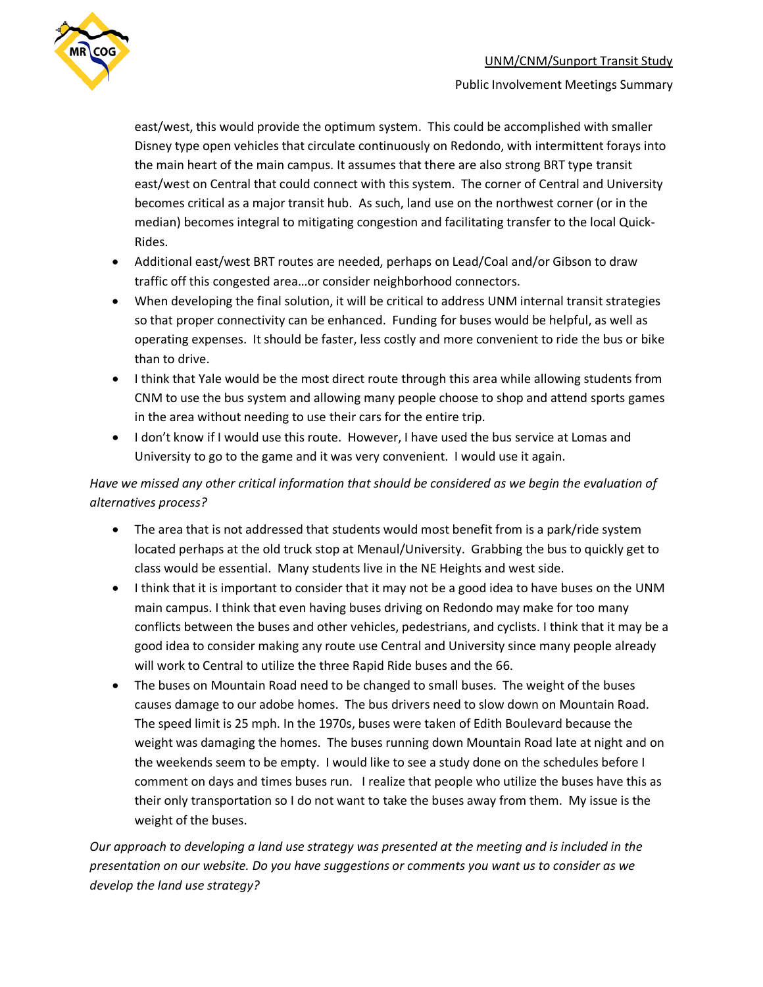

east/west, this would provide the optimum system. This could be accomplished with smaller Disney type open vehicles that circulate continuously on Redondo, with intermittent forays into the main heart of the main campus. It assumes that there are also strong BRT type transit east/west on Central that could connect with this system. The corner of Central and University becomes critical as a major transit hub. As such, land use on the northwest corner (or in the median) becomes integral to mitigating congestion and facilitating transfer to the local Quick-Rides.

- Additional east/west BRT routes are needed, perhaps on Lead/Coal and/or Gibson to draw traffic off this congested area…or consider neighborhood connectors.
- When developing the final solution, it will be critical to address UNM internal transit strategies so that proper connectivity can be enhanced. Funding for buses would be helpful, as well as operating expenses. It should be faster, less costly and more convenient to ride the bus or bike than to drive.
- I think that Yale would be the most direct route through this area while allowing students from CNM to use the bus system and allowing many people choose to shop and attend sports games in the area without needing to use their cars for the entire trip.
- I don't know if I would use this route. However, I have used the bus service at Lomas and University to go to the game and it was very convenient. I would use it again.

## *Have we missed any other critical information that should be considered as we begin the evaluation of alternatives process?*

- The area that is not addressed that students would most benefit from is a park/ride system located perhaps at the old truck stop at Menaul/University. Grabbing the bus to quickly get to class would be essential. Many students live in the NE Heights and west side.
- I think that it is important to consider that it may not be a good idea to have buses on the UNM main campus. I think that even having buses driving on Redondo may make for too many conflicts between the buses and other vehicles, pedestrians, and cyclists. I think that it may be a good idea to consider making any route use Central and University since many people already will work to Central to utilize the three Rapid Ride buses and the 66.
- The buses on Mountain Road need to be changed to small buses. The weight of the buses causes damage to our adobe homes. The bus drivers need to slow down on Mountain Road. The speed limit is 25 mph. In the 1970s, buses were taken of Edith Boulevard because the weight was damaging the homes. The buses running down Mountain Road late at night and on the weekends seem to be empty. I would like to see a study done on the schedules before I comment on days and times buses run. I realize that people who utilize the buses have this as their only transportation so I do not want to take the buses away from them. My issue is the weight of the buses.

*Our approach to developing a land use strategy was presented at the meeting and is included in the presentation on our website. Do you have suggestions or comments you want us to consider as we develop the land use strategy?*